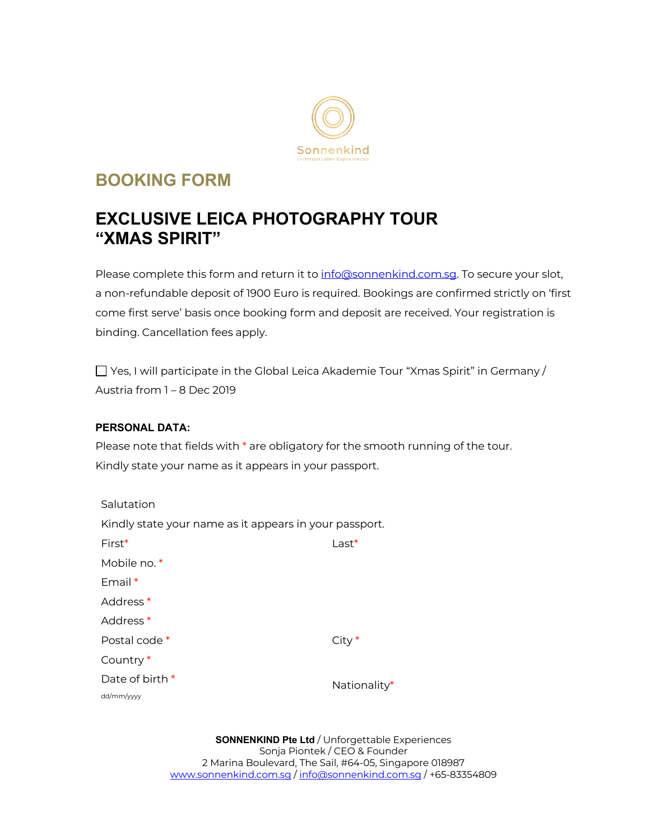

# **BOOKING FORM**

# **EXCLUSIVE LEICA PHOTOGRAPHY TOUR "XMAS SPIRIT"**

Please complete this form and return it to info@sonnenkind.com.sq. To secure your slot, a non-refundable deposit of 1900 Euro is required. Bookings are confirmed strictly on 'first come first serve' basis once booking form and deposit are received. Your registration is binding. Cancellation fees apply.

Yes, I will participate in the Global Leica Akademie Tour "Xmas Spirit" in Germany / Austria from 1 – 8 Dec 2019

## **PERSONAL DATA:**

Please note that fields with \* are obligatory for the smooth running of the tour. Kindly state your name as it appears in your passport.

| Salutation                                             |              |  |  |  |  |
|--------------------------------------------------------|--------------|--|--|--|--|
| Kindly state your name as it appears in your passport. |              |  |  |  |  |
| $First*$                                               | $Last*$      |  |  |  |  |
| Mobile no. *                                           |              |  |  |  |  |
| $Fmail*$                                               |              |  |  |  |  |
| Address <sup>*</sup>                                   |              |  |  |  |  |
| Address <sup>*</sup>                                   |              |  |  |  |  |
| Postal code *                                          | $City*$      |  |  |  |  |
| Country*                                               |              |  |  |  |  |
| Date of birth $*$                                      | Nationality* |  |  |  |  |
| dd/mm/yyyy                                             |              |  |  |  |  |

**SONNENKIND Pte Ltd** / Unforgettable Experiences Sonja Piontek / CEO & Founder 2 Marina Boulevard, The Sail, #64-05, Singapore 018987 www.sonnenkind.com.sg / info@sonnenkind.com.sg / +65-83354809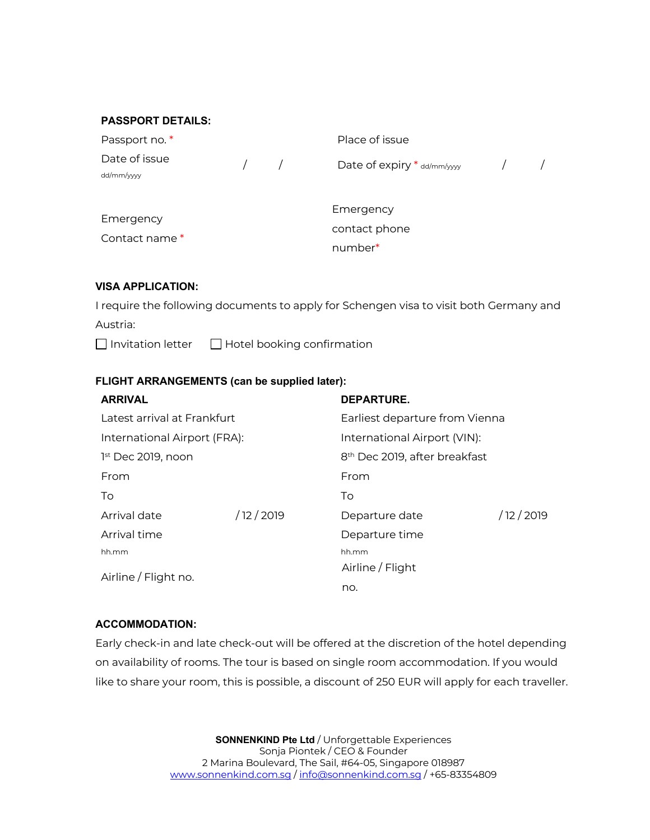#### **PASSPORT DETAILS:**

| Passport no. *              |  |               | Place of issue              |  |
|-----------------------------|--|---------------|-----------------------------|--|
| Date of issue<br>dd/mm/yyyy |  | $\frac{1}{2}$ | Date of expiry * dd/mm/yyyy |  |
| Emergency                   |  |               | Emergency                   |  |
| Contact name *              |  |               | contact phone               |  |
|                             |  |               | number*                     |  |

#### **VISA APPLICATION:**

I require the following documents to apply for Schengen visa to visit both Germany and Austria:

 $\Box$  Invitation letter  $\Box$  Hotel booking confirmation

#### **FLIGHT ARRANGEMENTS (can be supplied later):**

| <b>ARRIVAL</b>               |             | <b>DEPARTURE.</b>                         |             |  |
|------------------------------|-------------|-------------------------------------------|-------------|--|
| Latest arrival at Frankfurt  |             | Earliest departure from Vienna            |             |  |
| International Airport (FRA): |             | International Airport (VIN):              |             |  |
| 1st Dec 2019, noon           |             | 8 <sup>th</sup> Dec 2019, after breakfast |             |  |
| From                         |             | From                                      |             |  |
| To                           |             | To                                        |             |  |
| Arrival date                 | / 12 / 2019 | Departure date                            | / 12 / 2019 |  |
| Arrival time                 |             | Departure time                            |             |  |
| hh.mm                        |             | hh.mm                                     |             |  |
| Airline / Flight no.         |             | Airline / Flight                          |             |  |
|                              |             | no.                                       |             |  |

#### **ACCOMMODATION:**

Early check-in and late check-out will be offered at the discretion of the hotel depending on availability of rooms. The tour is based on single room accommodation. If you would like to share your room, this is possible, a discount of 250 EUR will apply for each traveller.

> **SONNENKIND Pte Ltd** / Unforgettable Experiences Sonja Piontek / CEO & Founder 2 Marina Boulevard, The Sail, #64-05, Singapore 018987 www.sonnenkind.com.sg / info@sonnenkind.com.sg / +65-83354809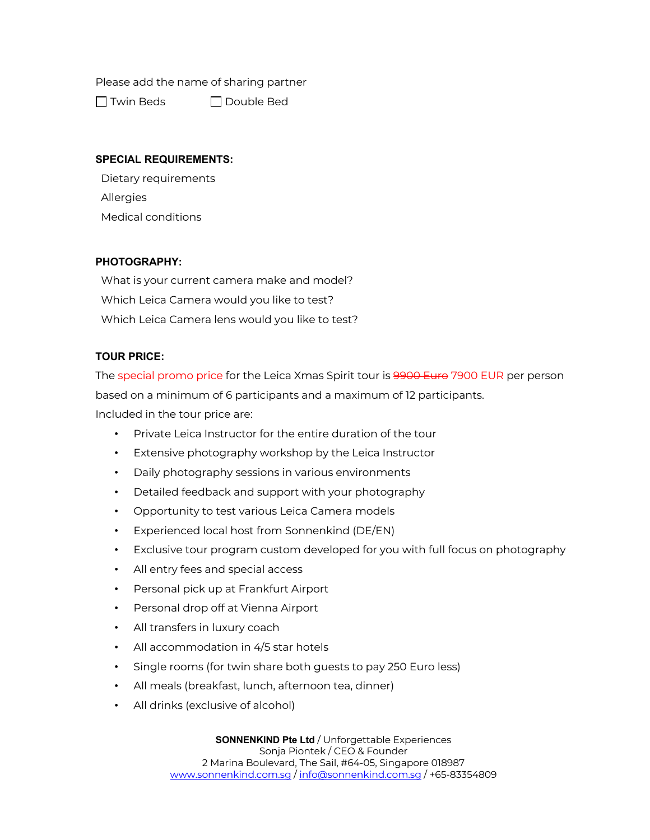Please add the name of sharing partner

 $\Box$  Twin Beds  $\Box$  Double Bed

### **SPECIAL REQUIREMENTS:**

Dietary requirements Allergies Medical conditions

### **PHOTOGRAPHY:**

What is your current camera make and model? Which Leica Camera would you like to test? Which Leica Camera lens would you like to test?

## **TOUR PRICE:**

The special promo price for the Leica Xmas Spirit tour is <del>9900 Euro</del> 7900 EUR per person based on a minimum of 6 participants and a maximum of 12 participants. Included in the tour price are:

- Private Leica Instructor for the entire duration of the tour
- Extensive photography workshop by the Leica Instructor
- Daily photography sessions in various environments
- Detailed feedback and support with your photography
- Opportunity to test various Leica Camera models
- Experienced local host from Sonnenkind (DE/EN)
- Exclusive tour program custom developed for you with full focus on photography
- All entry fees and special access
- Personal pick up at Frankfurt Airport
- Personal drop off at Vienna Airport
- All transfers in luxury coach
- All accommodation in 4/5 star hotels
- Single rooms (for twin share both guests to pay 250 Euro less)
- All meals (breakfast, lunch, afternoon tea, dinner)
- All drinks (exclusive of alcohol)

**SONNENKIND Pte Ltd** / Unforgettable Experiences Sonja Piontek / CEO & Founder 2 Marina Boulevard, The Sail, #64-05, Singapore 018987 www.sonnenkind.com.sg / info@sonnenkind.com.sg / +65-83354809